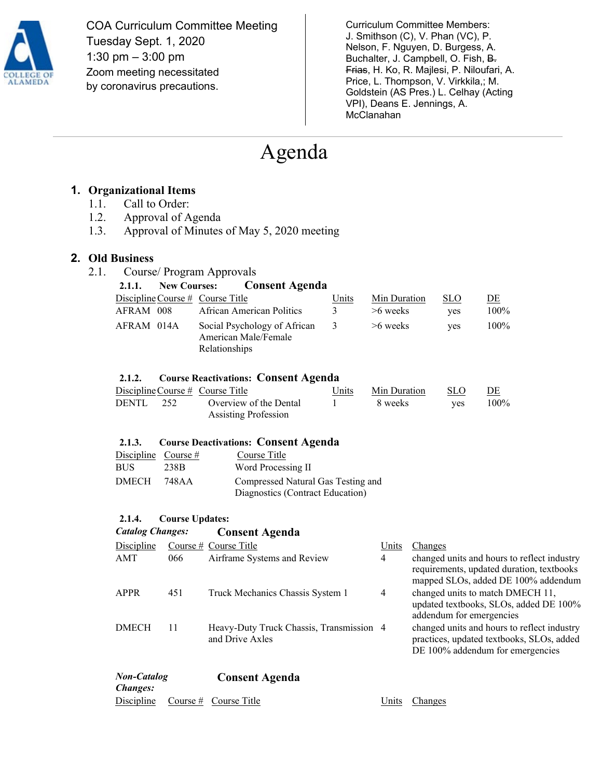

COA Curriculum Committee Meeting Tuesday Sept. 1, 2020 1:30 pm – 3:00 pm Zoom meeting necessitated by coronavirus precautions.

Curriculum Committee Members: J. Smithson (C), V. Phan (VC), P. Nelson, F. Nguyen, D. Burgess, A. Buchalter, J. Campbell, O. Fish, B. Frias, H. Ko, R. Majlesi, P. Niloufari, A. Price, L. Thompson, V. Virkkila,; M. Goldstein (AS Pres.) L. Celhay (Acting VPI), Deans E. Jennings, A. McClanahan

# Agenda

### **1. Organizational Items**

- 1.1. Call to Order:
- 1.2. Approval of Agenda
- 1.3. Approval of Minutes of May 5, 2020 meeting

#### **2. Old Business**

2.1. Course/ Program Approvals

| 2.1.1.     | New Courses: Consent Agenda                                           |                         |              |            |      |
|------------|-----------------------------------------------------------------------|-------------------------|--------------|------------|------|
|            | Discipline Course $#$ Course Title                                    | Units                   | Min Duration | <b>SLO</b> | DE   |
| AFRAM 008  | African American Politics                                             | $\mathcal{R}$           | $>6$ weeks   | <b>ves</b> | 100% |
| AFRAM 014A | Social Psychology of African<br>American Male/Female<br>Relationships | $\overline{\mathbf{3}}$ | $>6$ weeks   | <b>ves</b> | 100% |

#### **2.1.2. Course Reactivations: Consent Agenda**

|           | Discipline Course $#$ Course Title | Units | Min Duration | -SLO | DE      |
|-----------|------------------------------------|-------|--------------|------|---------|
| DENTL 252 | Overview of the Dental             |       | 8 weeks      | yes  | $100\%$ |
|           | <b>Assisting Profession</b>        |       |              |      |         |

#### **2.1.3. Course Deactivations: Consent Agenda**

| Discipline Course $#$ |      | Course Title                                                           |
|-----------------------|------|------------------------------------------------------------------------|
| BUS.                  | 238B | Word Processing II                                                     |
| DMECH 748AA           |      | Compressed Natural Gas Testing and<br>Diagnostics (Contract Education) |

#### **2.1.4. Course Updates:**

*Catalog Changes:* **Consent Agenda**

| Discipline                            |     | Course $#$ Course Title                                     | Units | Changes                                                                                                                         |
|---------------------------------------|-----|-------------------------------------------------------------|-------|---------------------------------------------------------------------------------------------------------------------------------|
| AMT                                   | 066 | Airframe Systems and Review                                 | 4     | changed units and hours to reflect industry<br>requirements, updated duration, textbooks<br>mapped SLOs, added DE 100% addendum |
| APPR                                  | 451 | Truck Mechanics Chassis System 1                            | 4     | changed units to match DMECH 11,<br>updated textbooks, SLOs, added DE 100%<br>addendum for emergencies                          |
| <b>DMECH</b>                          | 11  | Heavy-Duty Truck Chassis, Transmission 4<br>and Drive Axles |       | changed units and hours to reflect industry<br>practices, updated textbooks, SLOs, added<br>DE 100% addendum for emergencies    |
| <b>Non-Catalog</b><br><i>Changes:</i> |     | <b>Consent Agenda</b>                                       |       |                                                                                                                                 |

# Discipline Course # Course Title Title Units Changes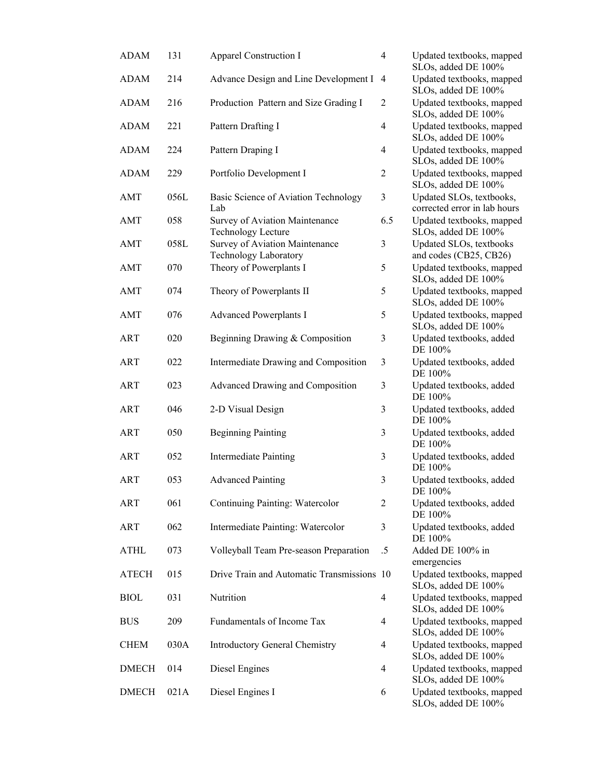| <b>ADAM</b>  | 131  | Apparel Construction I                                         | $\overline{4}$ | Updated textbooks, mapped<br>SLOs, added DE 100%         |
|--------------|------|----------------------------------------------------------------|----------------|----------------------------------------------------------|
| <b>ADAM</b>  | 214  | Advance Design and Line Development I 4                        |                | Updated textbooks, mapped<br>SLOs, added DE 100%         |
| <b>ADAM</b>  | 216  | Production Pattern and Size Grading I                          | $\overline{c}$ | Updated textbooks, mapped<br>SLOs, added DE 100%         |
| <b>ADAM</b>  | 221  | Pattern Drafting I                                             | $\overline{4}$ | Updated textbooks, mapped<br>SLOs, added DE 100%         |
| <b>ADAM</b>  | 224  | Pattern Draping I                                              | $\overline{4}$ | Updated textbooks, mapped<br>SLOs, added DE 100%         |
| <b>ADAM</b>  | 229  | Portfolio Development I                                        | $\overline{c}$ | Updated textbooks, mapped<br>SLOs, added DE 100%         |
| AMT          | 056L | Basic Science of Aviation Technology<br>Lab                    | 3              | Updated SLOs, textbooks,<br>corrected error in lab hours |
| AMT          | 058  | Survey of Aviation Maintenance<br><b>Technology Lecture</b>    | 6.5            | Updated textbooks, mapped<br>SLOs, added DE 100%         |
| AMT          | 058L | Survey of Aviation Maintenance<br><b>Technology Laboratory</b> | 3              | Updated SLOs, textbooks<br>and codes (CB25, CB26)        |
| AMT          | 070  | Theory of Powerplants I                                        | 5              | Updated textbooks, mapped<br>SLOs, added DE 100%         |
| AMT          | 074  | Theory of Powerplants II                                       | 5              | Updated textbooks, mapped<br>SLOs, added DE 100%         |
| AMT          | 076  | <b>Advanced Powerplants I</b>                                  | 5              | Updated textbooks, mapped<br>SLOs, added DE 100%         |
| ART          | 020  | Beginning Drawing & Composition                                | 3              | Updated textbooks, added<br>DE 100%                      |
| <b>ART</b>   | 022  | Intermediate Drawing and Composition                           | 3              | Updated textbooks, added<br>DE 100%                      |
| <b>ART</b>   | 023  | Advanced Drawing and Composition                               | 3              | Updated textbooks, added<br>DE 100%                      |
| <b>ART</b>   | 046  | 2-D Visual Design                                              | 3              | Updated textbooks, added<br>DE 100%                      |
| <b>ART</b>   | 050  | <b>Beginning Painting</b>                                      | 3              | Updated textbooks, added<br>DE 100%                      |
| <b>ART</b>   | 052  | <b>Intermediate Painting</b>                                   | 3              | Updated textbooks, added<br>DE 100%                      |
| <b>ART</b>   | 053  | <b>Advanced Painting</b>                                       | 3              | Updated textbooks, added<br>DE 100%                      |
| <b>ART</b>   | 061  | Continuing Painting: Watercolor                                | 2              | Updated textbooks, added<br>DE 100%                      |
| <b>ART</b>   | 062  | Intermediate Painting: Watercolor                              | 3              | Updated textbooks, added<br>DE 100%                      |
| <b>ATHL</b>  | 073  | Volleyball Team Pre-season Preparation                         | .5             | Added DE 100% in<br>emergencies                          |
| <b>ATECH</b> | 015  | Drive Train and Automatic Transmissions 10                     |                | Updated textbooks, mapped<br>SLOs, added DE 100%         |
| <b>BIOL</b>  | 031  | Nutrition                                                      | 4              | Updated textbooks, mapped<br>SLOs, added DE 100%         |
| <b>BUS</b>   | 209  | Fundamentals of Income Tax                                     | 4              | Updated textbooks, mapped<br>SLOs, added DE 100%         |
| <b>CHEM</b>  | 030A | <b>Introductory General Chemistry</b>                          | 4              | Updated textbooks, mapped<br>SLOs, added DE 100%         |
| <b>DMECH</b> | 014  | Diesel Engines                                                 | 4              | Updated textbooks, mapped<br>SLOs, added DE 100%         |
| <b>DMECH</b> | 021A | Diesel Engines I                                               | 6              | Updated textbooks, mapped<br>SLOs, added DE 100%         |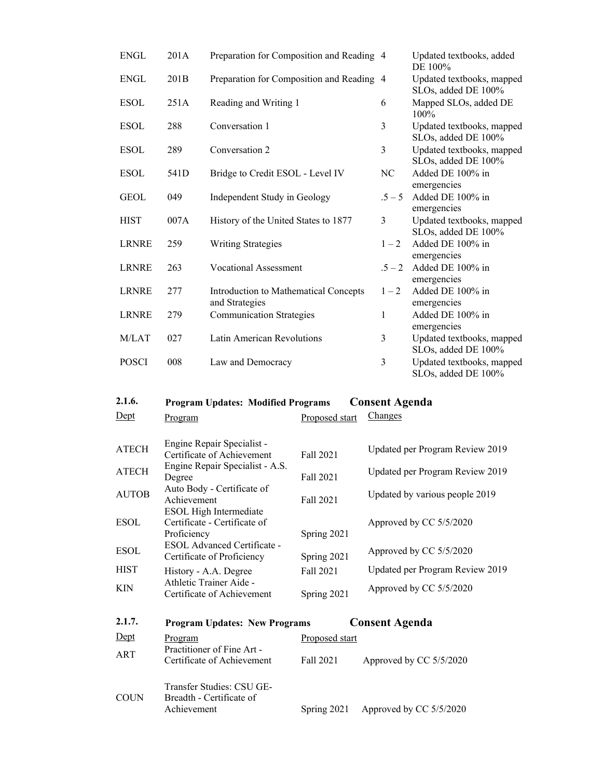| <b>ENGL</b>  | 201A | Preparation for Composition and Reading 4               |                | Updated textbooks, added<br>DE 100%              |
|--------------|------|---------------------------------------------------------|----------------|--------------------------------------------------|
| <b>ENGL</b>  | 201B | Preparation for Composition and Reading 4               |                | Updated textbooks, mapped<br>SLOs, added DE 100% |
| <b>ESOL</b>  | 251A | Reading and Writing 1                                   | 6              | Mapped SLOs, added DE<br>$100\%$                 |
| <b>ESOL</b>  | 288  | Conversation 1                                          | 3              | Updated textbooks, mapped<br>SLOs, added DE 100% |
| <b>ESOL</b>  | 289  | Conversation 2                                          | 3              | Updated textbooks, mapped<br>SLOs, added DE 100% |
| <b>ESOL</b>  | 541D | Bridge to Credit ESOL - Level IV                        | NC             | Added DE 100% in<br>emergencies                  |
| <b>GEOL</b>  | 049  | Independent Study in Geology                            | $.5 - 5$       | Added DE 100% in<br>emergencies                  |
| <b>HIST</b>  | 007A | History of the United States to 1877                    | 3              | Updated textbooks, mapped<br>SLOs, added DE 100% |
| <b>LRNRE</b> | 259  | <b>Writing Strategies</b>                               | $1 - 2$        | Added DE 100% in<br>emergencies                  |
| <b>LRNRE</b> | 263  | <b>Vocational Assessment</b>                            | $.5 - 2$       | Added DE 100% in<br>emergencies                  |
| <b>LRNRE</b> | 277  | Introduction to Mathematical Concepts<br>and Strategies | $1 - 2$        | Added DE 100% in<br>emergencies                  |
| <b>LRNRE</b> | 279  | <b>Communication Strategies</b>                         | 1              | Added DE 100% in<br>emergencies                  |
| M/LAT        | 027  | Latin American Revolutions                              | 3              | Updated textbooks, mapped<br>SLOs, added DE 100% |
| <b>POSCI</b> | 008  | Law and Democracy                                       | $\mathfrak{Z}$ | Updated textbooks, mapped<br>SLOs, added DE 100% |

# **2.1.6. Program Updates: Modified Programs Consent Agenda**

| Dept         | Program                                                                      | Proposed start | Changes                         |
|--------------|------------------------------------------------------------------------------|----------------|---------------------------------|
| <b>ATECH</b> | Engine Repair Specialist -<br>Certificate of Achievement                     | Fall 2021      | Updated per Program Review 2019 |
| <b>ATECH</b> | Engine Repair Specialist - A.S.<br>Degree                                    | Fall 2021      | Updated per Program Review 2019 |
| <b>AUTOB</b> | Auto Body - Certificate of<br>Achievement                                    | Fall 2021      | Updated by various people 2019  |
| ESOL         | <b>ESOL High Intermediate</b><br>Certificate - Certificate of<br>Proficiency | Spring 2021    | Approved by CC 5/5/2020         |
| ESOL         | ESOL Advanced Certificate -<br>Certificate of Proficiency                    | Spring 2021    | Approved by CC 5/5/2020         |
| <b>HIST</b>  | History - A.A. Degree                                                        | Fall 2021      | Updated per Program Review 2019 |
| KIN          | Athletic Trainer Aide -<br>Certificate of Achievement                        | Spring 2021    | Approved by CC 5/5/2020         |

| 2.1.7.      | <b>Program Updates: New Programs</b>                                 |                | <b>Consent Agenda</b>   |
|-------------|----------------------------------------------------------------------|----------------|-------------------------|
| Dept        | Program                                                              | Proposed start |                         |
| ART         | Practitioner of Fine Art -<br>Certificate of Achievement             | Fall 2021      | Approved by CC 5/5/2020 |
| <b>COUN</b> | Transfer Studies: CSU GE-<br>Breadth - Certificate of<br>Achievement | Spring 2021    | Approved by CC 5/5/2020 |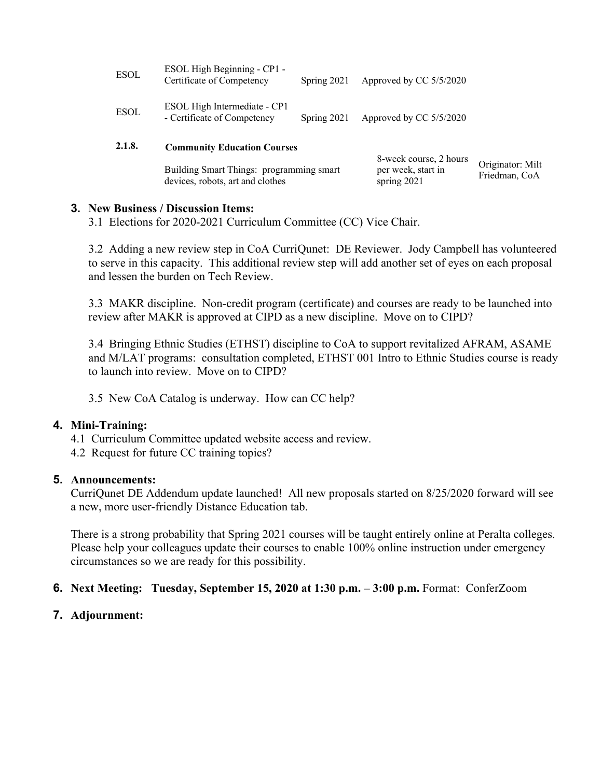|             | Building Smart Things: programming smart<br>devices, robots, art and clothes |               | 8-week course, 2 hours<br>per week, start in<br>spring 2021 | Originator: Milt<br>Friedman, CoA |
|-------------|------------------------------------------------------------------------------|---------------|-------------------------------------------------------------|-----------------------------------|
| 2.1.8.      | <b>Community Education Courses</b>                                           |               |                                                             |                                   |
| <b>ESOL</b> | ESOL High Intermediate - CP1<br>- Certificate of Competency                  | Spring $2021$ | Approved by CC 5/5/2020                                     |                                   |
| <b>ESOL</b> | ESOL High Beginning - CP1 -<br>Certificate of Competency                     | Spring $2021$ | Approved by CC 5/5/2020                                     |                                   |

**Milt** 

### **3. New Business / Discussion Items:**

3.1 Elections for 2020-2021 Curriculum Committee (CC) Vice Chair.

3.2 Adding a new review step in CoA CurriQunet: DE Reviewer. Jody Campbell has volunteered to serve in this capacity. This additional review step will add another set of eyes on each proposal and lessen the burden on Tech Review.

3.3 MAKR discipline. Non-credit program (certificate) and courses are ready to be launched into review after MAKR is approved at CIPD as a new discipline. Move on to CIPD?

3.4 Bringing Ethnic Studies (ETHST) discipline to CoA to support revitalized AFRAM, ASAME and M/LAT programs: consultation completed, ETHST 001 Intro to Ethnic Studies course is ready to launch into review. Move on to CIPD?

3.5 New CoA Catalog is underway. How can CC help?

### **4. Mini-Training:**

- 4.1 Curriculum Committee updated website access and review.
- 4.2 Request for future CC training topics?

### **5. Announcements:**

CurriQunet DE Addendum update launched! All new proposals started on 8/25/2020 forward will see a new, more user-friendly Distance Education tab.

There is a strong probability that Spring 2021 courses will be taught entirely online at Peralta colleges. Please help your colleagues update their courses to enable 100% online instruction under emergency circumstances so we are ready for this possibility.

### **6. Next Meeting: Tuesday, September 15, 2020 at 1:30 p.m. – 3:00 p.m.** Format: ConferZoom

### **7. Adjournment:**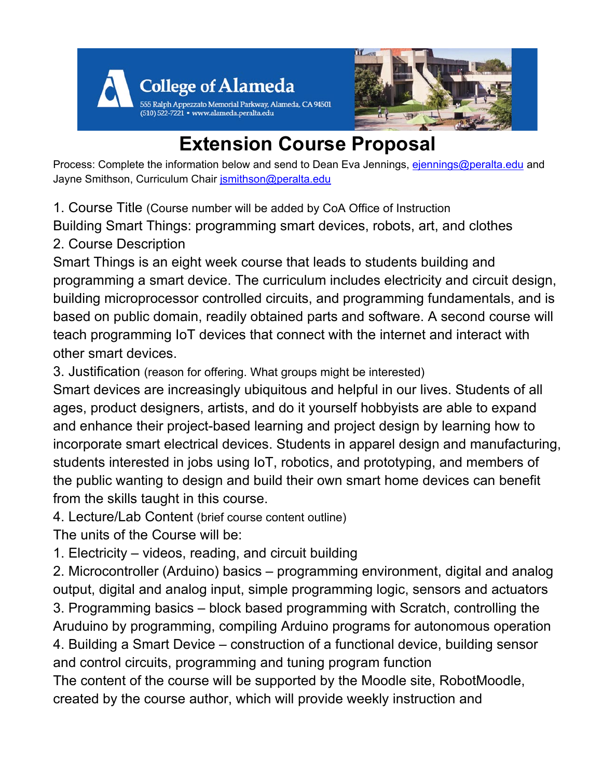



# **Extension Course Proposal**

Process: Complete the information below and send to Dean Eva Jennings, [ejennings@peralta.edu](mailto:ejennings@peralta.edu) and Jayne Smithson, Curriculum Chair [jsmithson@peralta.edu](mailto:jsmithson@peralta.edu)

1. Course Title (Course number will be added by CoA Office of Instruction

Building Smart Things: programming smart devices, robots, art, and clothes

2. Course Description

Smart Things is an eight week course that leads to students building and programming a smart device. The curriculum includes electricity and circuit design, building microprocessor controlled circuits, and programming fundamentals, and is based on public domain, readily obtained parts and software. A second course will teach programming IoT devices that connect with the internet and interact with other smart devices.

3. Justification (reason for offering. What groups might be interested)

Smart devices are increasingly ubiquitous and helpful in our lives. Students of all ages, product designers, artists, and do it yourself hobbyists are able to expand and enhance their project-based learning and project design by learning how to incorporate smart electrical devices. Students in apparel design and manufacturing, students interested in jobs using IoT, robotics, and prototyping, and members of the public wanting to design and build their own smart home devices can benefit from the skills taught in this course.

4. Lecture/Lab Content (brief course content outline)

The units of the Course will be:

1. Electricity – videos, reading, and circuit building

2. Microcontroller (Arduino) basics – programming environment, digital and analog output, digital and analog input, simple programming logic, sensors and actuators 3. Programming basics – block based programming with Scratch, controlling the Aruduino by programming, compiling Arduino programs for autonomous operation 4. Building a Smart Device – construction of a functional device, building sensor

and control circuits, programming and tuning program function

The content of the course will be supported by the Moodle site, RobotMoodle, created by the course author, which will provide weekly instruction and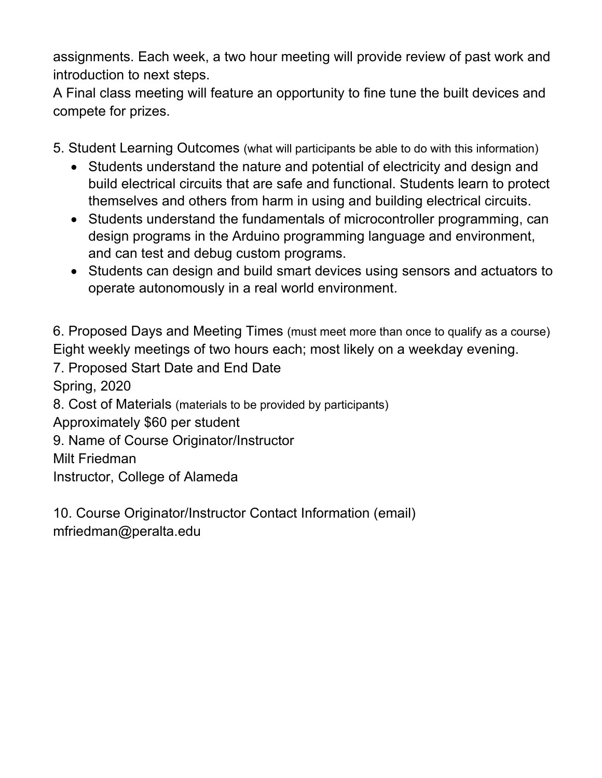assignments. Each week, a two hour meeting will provide review of past work and introduction to next steps.

A Final class meeting will feature an opportunity to fine tune the built devices and compete for prizes.

- 5. Student Learning Outcomes (what will participants be able to do with this information)
	- Students understand the nature and potential of electricity and design and build electrical circuits that are safe and functional. Students learn to protect themselves and others from harm in using and building electrical circuits.
	- Students understand the fundamentals of microcontroller programming, can design programs in the Arduino programming language and environment, and can test and debug custom programs.
	- Students can design and build smart devices using sensors and actuators to operate autonomously in a real world environment.

6. Proposed Days and Meeting Times (must meet more than once to qualify as a course) Eight weekly meetings of two hours each; most likely on a weekday evening.

7. Proposed Start Date and End Date

Spring, 2020

8. Cost of Materials (materials to be provided by participants)

Approximately \$60 per student

9. Name of Course Originator/Instructor

Milt Friedman

Instructor, College of Alameda

10. Course Originator/Instructor Contact Information (email) mfriedman@peralta.edu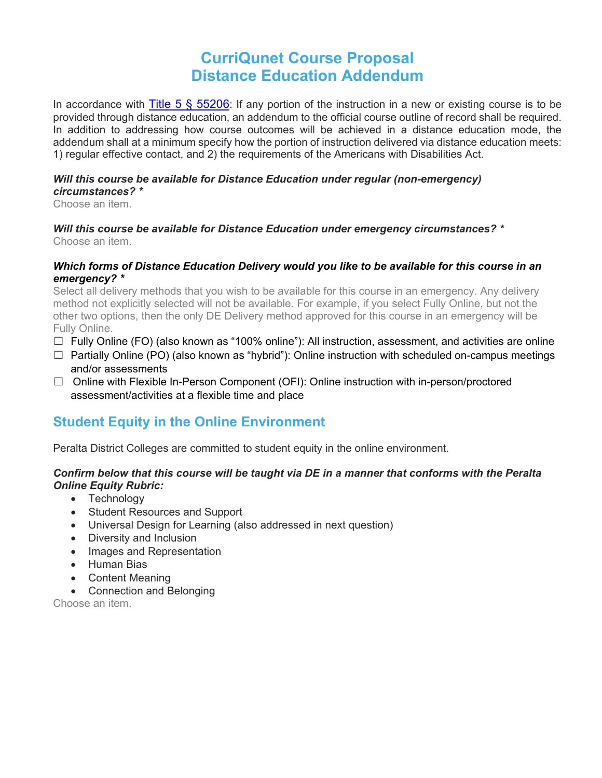# **CurriQunet Course Proposal Distance Education Addendum**

In accordance with Title 5  $\frac{6}{5}$  55206: If any portion of the instruction in a new or existing course is to be provided through distance education, an addendum to the official course outline of record shall be required. In addition to addressing how course outcomes will be achieved in a distance education mode, the addendum shall at a minimum specify how the portion of instruction delivered via distance education meets: 1) regular effective contact, and 2) the requirements of the Americans with Disabilities Act.

#### *Will this course be available for Distance Education under regular (non-emergency) circumstances? \**

Choose an item.

#### *Will this course be available for Distance Education under emergency circumstances? \** Choose an item.

### *Which forms of Distance Education Delivery would you like to be available for this course in an emergency? \**

Select all delivery methods that you wish to be available for this course in an emergency. Any delivery method not explicitly selected will not be available. For example, if you select Fully Online, but not the other two options, then the only DE Delivery method approved for this course in an emergency will be Fully Online.

- $\Box$  Fully Online (FO) (also known as "100% online"): All instruction, assessment, and activities are online
- $\Box$  Partially Online (PO) (also known as "hybrid"): Online instruction with scheduled on-campus meetings and/or assessments
- □ Online with Flexible In-Person Component (OFI): Online instruction with in-person/proctored assessment/activities at a flexible time and place

## **Student Equity in the Online Environment**

Peralta District Colleges are committed to student equity in the online environment.

### *Confirm below that this course will be taught via DE in a manner that conforms with the Peralta Online Equity Rubric:*

- Technology
- Student Resources and Support
- Universal Design for Learning (also addressed in next question)
- Diversity and Inclusion
- Images and Representation
- Human Bias
- Content Meaning
- Connection and Belonging

Choose an item.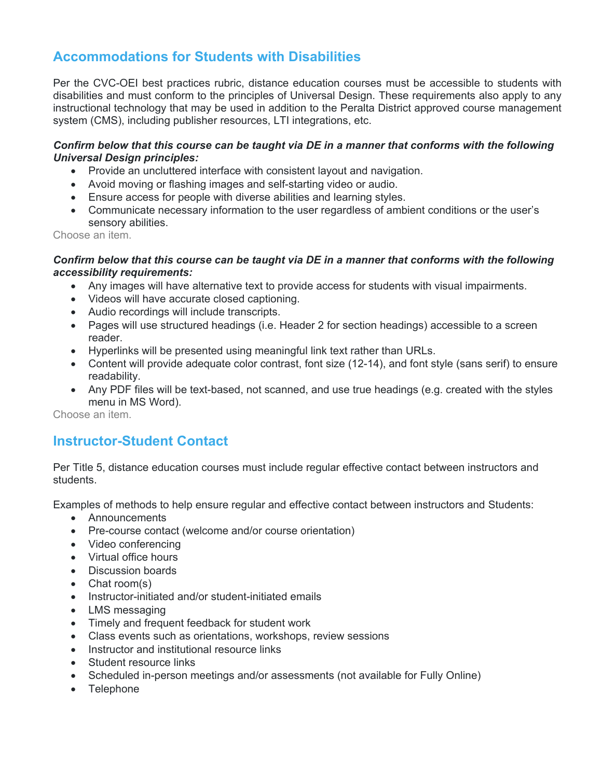## **Accommodations for Students with Disabilities**

Per the CVC-OEI best practices rubric, distance education courses must be accessible to students with disabilities and must conform to the principles of Universal Design. These requirements also apply to any instructional technology that may be used in addition to the Peralta District approved course management system (CMS), including publisher resources, LTI integrations, etc.

### *Confirm below that this course can be taught via DE in a manner that conforms with the following Universal Design principles:*

- Provide an uncluttered interface with consistent layout and navigation.
- Avoid moving or flashing images and self-starting video or audio.
- Ensure access for people with diverse abilities and learning styles.
- Communicate necessary information to the user regardless of ambient conditions or the user's sensory abilities.

Choose an item.

#### *Confirm below that this course can be taught via DE in a manner that conforms with the following accessibility requirements:*

- Any images will have alternative text to provide access for students with visual impairments.
- Videos will have accurate closed captioning.
- Audio recordings will include transcripts.
- Pages will use structured headings (i.e. Header 2 for section headings) accessible to a screen reader.
- Hyperlinks will be presented using meaningful link text rather than URLs.
- Content will provide adequate color contrast, font size (12-14), and font style (sans serif) to ensure readability.
- Any PDF files will be text-based, not scanned, and use true headings (e.g. created with the styles menu in MS Word).

Choose an item.

### **Instructor-Student Contact**

Per Title 5, distance education courses must include regular effective contact between instructors and students.

Examples of methods to help ensure regular and effective contact between instructors and Students:

- Announcements
- Pre-course contact (welcome and/or course orientation)
- Video conferencing
- Virtual office hours
- Discussion boards
- Chat room(s)
- Instructor-initiated and/or student-initiated emails
- LMS messaging
- Timely and frequent feedback for student work
- Class events such as orientations, workshops, review sessions
- Instructor and institutional resource links
- Student resource links
- Scheduled in-person meetings and/or assessments (not available for Fully Online)
- Telephone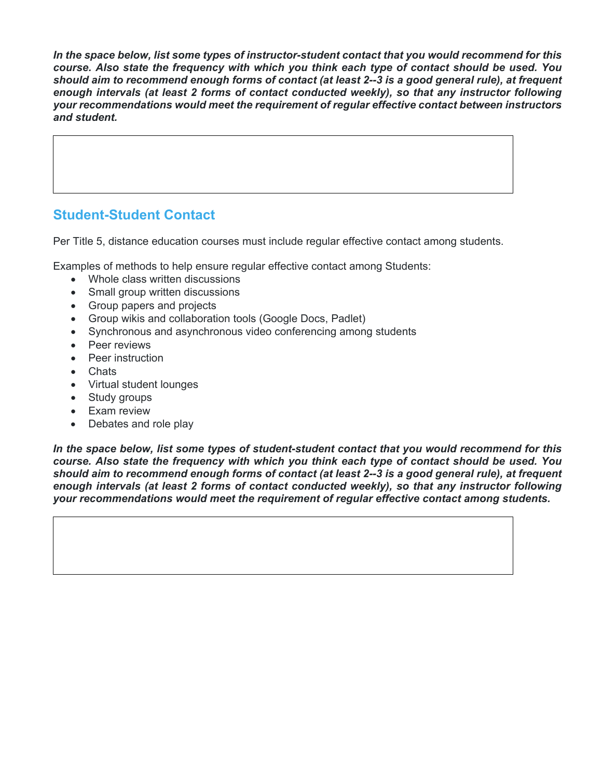*In the space below, list some types of instructor-student contact that you would recommend for this course. Also state the frequency with which you think each type of contact should be used. You should aim to recommend enough forms of contact (at least 2--3 is a good general rule), at frequent enough intervals (at least 2 forms of contact conducted weekly), so that any instructor following your recommendations would meet the requirement of regular effective contact between instructors and student.*

## **Student-Student Contact**

Per Title 5, distance education courses must include regular effective contact among students.

Examples of methods to help ensure regular effective contact among Students:

- Whole class written discussions
- Small group written discussions
- Group papers and projects
- Group wikis and collaboration tools (Google Docs, Padlet)
- Synchronous and asynchronous video conferencing among students
- Peer reviews
- Peer instruction
- Chats
- Virtual student lounges
- Study groups
- Exam review
- Debates and role play

*In the space below, list some types of student-student contact that you would recommend for this course. Also state the frequency with which you think each type of contact should be used. You should aim to recommend enough forms of contact (at least 2--3 is a good general rule), at frequent enough intervals (at least 2 forms of contact conducted weekly), so that any instructor following your recommendations would meet the requirement of regular effective contact among students.*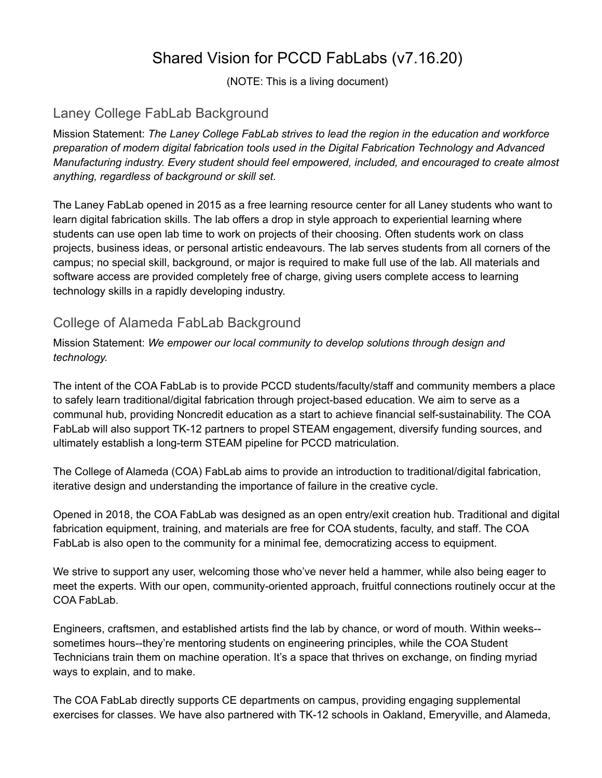# Shared Vision for PCCD FabLabs (v7.16.20)

(NOTE: This is a living document)

### Laney College FabLab Background

Mission Statement: *The Laney College FabLab strives to lead the region in the education and workforce preparation of modern digital fabrication tools used in the Digital Fabrication Technology and Advanced Manufacturing industry. Every student should feel empowered, included, and encouraged to create almost anything, regardless of background or skill set.*

The Laney FabLab opened in 2015 as a free learning resource center for all Laney students who want to learn digital fabrication skills. The lab offers a drop in style approach to experiential learning where students can use open lab time to work on projects of their choosing. Often students work on class projects, business ideas, or personal artistic endeavours. The lab serves students from all corners of the campus; no special skill, background, or major is required to make full use of the lab. All materials and software access are provided completely free of charge, giving users complete access to learning technology skills in a rapidly developing industry.

### College of Alameda FabLab Background

Mission Statement: *We empower our local community to develop solutions through design and technology.*

The intent of the COA FabLab is to provide PCCD students/faculty/staff and community members a place to safely learn traditional/digital fabrication through project-based education. We aim to serve as a communal hub, providing Noncredit education as a start to achieve financial self-sustainability. The COA FabLab will also support TK-12 partners to propel STEAM engagement, diversify funding sources, and ultimately establish a long-term STEAM pipeline for PCCD matriculation.

The College of Alameda (COA) FabLab aims to provide an introduction to traditional/digital fabrication, iterative design and understanding the importance of failure in the creative cycle.

Opened in 2018, the COA FabLab was designed as an open entry/exit creation hub. Traditional and digital fabrication equipment, training, and materials are free for COA students, faculty, and staff. The COA FabLab is also open to the community for a minimal fee, democratizing access to equipment.

We strive to support any user, welcoming those who've never held a hammer, while also being eager to meet the experts. With our open, community-oriented approach, fruitful connections routinely occur at the COA FabLab.

Engineers, craftsmen, and established artists find the lab by chance, or word of mouth. Within weeks- sometimes hours--they're mentoring students on engineering principles, while the COA Student Technicians train them on machine operation. It's a space that thrives on exchange, on finding myriad ways to explain, and to make.

The COA FabLab directly supports CE departments on campus, providing engaging supplemental exercises for classes. We have also partnered with TK-12 schools in Oakland, Emeryville, and Alameda,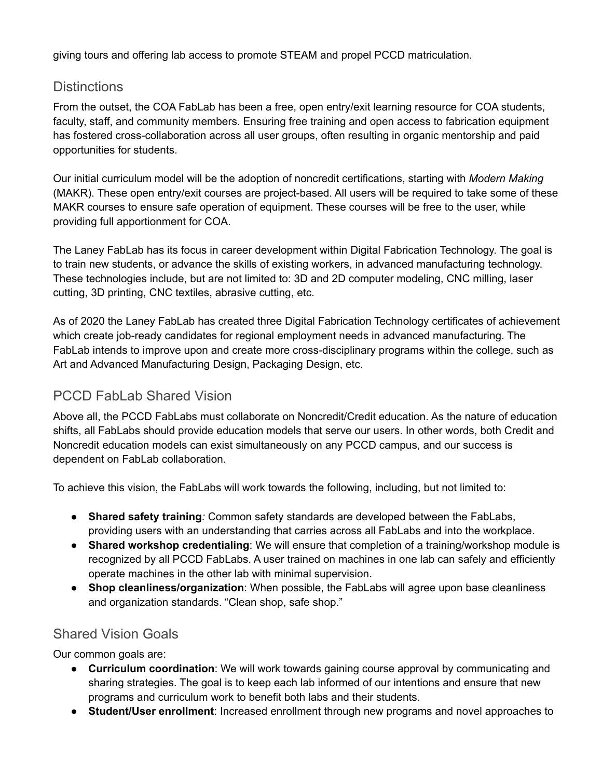giving tours and offering lab access to promote STEAM and propel PCCD matriculation.

### **Distinctions**

From the outset, the COA FabLab has been a free, open entry/exit learning resource for COA students, faculty, staff, and community members. Ensuring free training and open access to fabrication equipment has fostered cross-collaboration across all user groups, often resulting in organic mentorship and paid opportunities for students.

Our initial curriculum model will be the adoption of noncredit certifications, starting with *Modern Making*  (MAKR). These open entry/exit courses are project-based. All users will be required to take some of these MAKR courses to ensure safe operation of equipment. These courses will be free to the user, while providing full apportionment for COA.

The Laney FabLab has its focus in career development within Digital Fabrication Technology. The goal is to train new students, or advance the skills of existing workers, in advanced manufacturing technology. These technologies include, but are not limited to: 3D and 2D computer modeling, CNC milling, laser cutting, 3D printing, CNC textiles, abrasive cutting, etc.

As of 2020 the Laney FabLab has created three Digital Fabrication Technology certificates of achievement which create job-ready candidates for regional employment needs in advanced manufacturing. The FabLab intends to improve upon and create more cross-disciplinary programs within the college, such as Art and Advanced Manufacturing Design, Packaging Design, etc.

## PCCD FabLab Shared Vision

Above all, the PCCD FabLabs must collaborate on Noncredit/Credit education. As the nature of education shifts, all FabLabs should provide education models that serve our users. In other words, both Credit and Noncredit education models can exist simultaneously on any PCCD campus, and our success is dependent on FabLab collaboration.

To achieve this vision, the FabLabs will work towards the following, including, but not limited to:

- **Shared safety training***:* Common safety standards are developed between the FabLabs, providing users with an understanding that carries across all FabLabs and into the workplace.
- **Shared workshop credentialing**: We will ensure that completion of a training/workshop module is recognized by all PCCD FabLabs. A user trained on machines in one lab can safely and efficiently operate machines in the other lab with minimal supervision.
- **Shop cleanliness/organization**: When possible, the FabLabs will agree upon base cleanliness and organization standards. "Clean shop, safe shop."

### Shared Vision Goals

Our common goals are:

- **Curriculum coordination**: We will work towards gaining course approval by communicating and sharing strategies. The goal is to keep each lab informed of our intentions and ensure that new programs and curriculum work to benefit both labs and their students.
- **Student/User enrollment**: Increased enrollment through new programs and novel approaches to